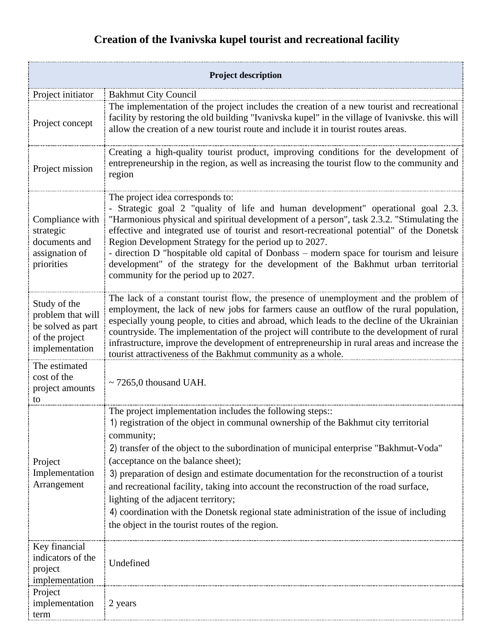## **Creation of the Ivanivska kupel tourist and recreational facility**

| <b>Project description</b>                                                                 |                                                                                                                                                                                                                                                                                                                                                                                                                                                                                                                                                                                                                                                                          |  |
|--------------------------------------------------------------------------------------------|--------------------------------------------------------------------------------------------------------------------------------------------------------------------------------------------------------------------------------------------------------------------------------------------------------------------------------------------------------------------------------------------------------------------------------------------------------------------------------------------------------------------------------------------------------------------------------------------------------------------------------------------------------------------------|--|
| Project initiator                                                                          | <b>Bakhmut City Council</b>                                                                                                                                                                                                                                                                                                                                                                                                                                                                                                                                                                                                                                              |  |
| Project concept                                                                            | The implementation of the project includes the creation of a new tourist and recreational<br>facility by restoring the old building "Ivanivska kupel" in the village of Ivanivske. this will<br>allow the creation of a new tourist route and include it in tourist routes areas.                                                                                                                                                                                                                                                                                                                                                                                        |  |
| Project mission                                                                            | Creating a high-quality tourist product, improving conditions for the development of<br>entrepreneurship in the region, as well as increasing the tourist flow to the community and<br>region                                                                                                                                                                                                                                                                                                                                                                                                                                                                            |  |
| Compliance with<br>strategic<br>documents and<br>assignation of<br>priorities              | The project idea corresponds to:<br>- Strategic goal 2 "quality of life and human development" operational goal 2.3.<br>"Harmonious physical and spiritual development of a person", task 2.3.2. "Stimulating the<br>effective and integrated use of tourist and resort-recreational potential" of the Donetsk<br>Region Development Strategy for the period up to 2027.<br>- direction D "hospitable old capital of Donbass – modern space for tourism and leisure<br>development" of the strategy for the development of the Bakhmut urban territorial<br>community for the period up to 2027.                                                                         |  |
| Study of the<br>problem that will<br>be solved as part<br>of the project<br>implementation | The lack of a constant tourist flow, the presence of unemployment and the problem of<br>employment, the lack of new jobs for farmers cause an outflow of the rural population,<br>especially young people, to cities and abroad, which leads to the decline of the Ukrainian<br>countryside. The implementation of the project will contribute to the development of rural<br>infrastructure, improve the development of entrepreneurship in rural areas and increase the<br>tourist attractiveness of the Bakhmut community as a whole.                                                                                                                                 |  |
| The estimated<br>cost of the<br>project amounts<br>to                                      | $\sim$ 7265,0 thousand UAH.                                                                                                                                                                                                                                                                                                                                                                                                                                                                                                                                                                                                                                              |  |
| Project<br>Implementation<br>Arrangement                                                   | The project implementation includes the following steps::<br>1) registration of the object in communal ownership of the Bakhmut city territorial<br>community;<br>2) transfer of the object to the subordination of municipal enterprise "Bakhmut-Voda"<br>(acceptance on the balance sheet);<br>3) preparation of design and estimate documentation for the reconstruction of a tourist<br>and recreational facility, taking into account the reconstruction of the road surface,<br>lighting of the adjacent territory;<br>4) coordination with the Donetsk regional state administration of the issue of including<br>the object in the tourist routes of the region. |  |
| Key financial<br>indicators of the<br>project<br>implementation                            | Undefined                                                                                                                                                                                                                                                                                                                                                                                                                                                                                                                                                                                                                                                                |  |
| Project<br>implementation<br>term                                                          | 2 years                                                                                                                                                                                                                                                                                                                                                                                                                                                                                                                                                                                                                                                                  |  |